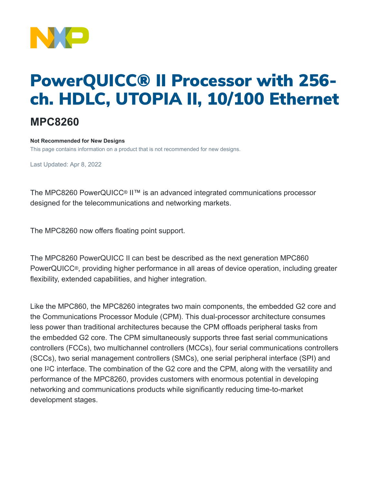

# PowerQUICC® II Processor with 256 ch. HDLC, UTOPIA II, 10/100 Ethernet

## **MPC8260**

#### **Not Recommended for New Designs**

This page contains information on a product that is not recommended for new designs.

Last Updated: Apr 8, 2022

The MPC8260 PowerQUICC® II™ is an advanced integrated communications processor designed for the telecommunications and networking markets.

The MPC8260 now offers floating point support.

The MPC8260 PowerQUICC II can best be described as the next generation MPC860 PowerQUICC®, providing higher performance in all areas of device operation, including greater flexibility, extended capabilities, and higher integration.

Like the MPC860, the MPC8260 integrates two main components, the embedded G2 core and the Communications Processor Module (CPM). This dual-processor architecture consumes less power than traditional architectures because the CPM offloads peripheral tasks from the embedded G2 core. The CPM simultaneously supports three fast serial communications controllers (FCCs), two multichannel controllers (MCCs), four serial communications controllers (SCCs), two serial management controllers (SMCs), one serial peripheral interface (SPI) and one I2C interface. The combination of the G2 core and the CPM, along with the versatility and performance of the MPC8260, provides customers with enormous potential in developing networking and communications products while significantly reducing time-to-market development stages.